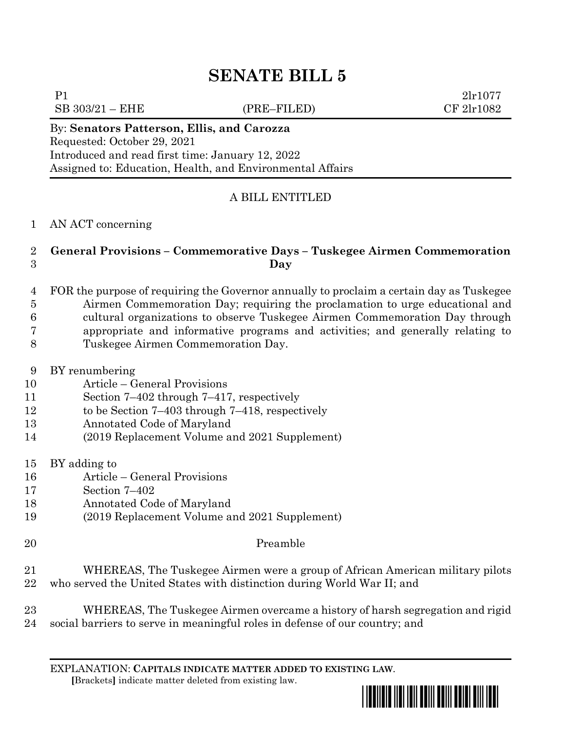# **SENATE BILL 5**

 $SB\ 303/21 - EHE$  (PRE–FILED) CF  $2\text{lr}1082$ 

 $P1$   $2lr1077$ 

By: **Senators Patterson, Ellis, and Carozza** Requested: October 29, 2021 Introduced and read first time: January 12, 2022 Assigned to: Education, Health, and Environmental Affairs

# A BILL ENTITLED

### AN ACT concerning

## **General Provisions – Commemorative Days – Tuskegee Airmen Commemoration Day**

- FOR the purpose of requiring the Governor annually to proclaim a certain day as Tuskegee Airmen Commemoration Day; requiring the proclamation to urge educational and cultural organizations to observe Tuskegee Airmen Commemoration Day through appropriate and informative programs and activities; and generally relating to Tuskegee Airmen Commemoration Day.
- 
- BY renumbering Article – General Provisions
- Section 7–402 through 7–417, respectively
- 12 to be Section 7–403 through 7–418, respectively
- Annotated Code of Maryland
- (2019 Replacement Volume and 2021 Supplement)
- BY adding to
- Article General Provisions
- Section 7–402
- Annotated Code of Maryland
- (2019 Replacement Volume and 2021 Supplement)
- Preamble
- WHEREAS, The Tuskegee Airmen were a group of African American military pilots who served the United States with distinction during World War II; and
- WHEREAS, The Tuskegee Airmen overcame a history of harsh segregation and rigid social barriers to serve in meaningful roles in defense of our country; and

EXPLANATION: **CAPITALS INDICATE MATTER ADDED TO EXISTING LAW**.  **[**Brackets**]** indicate matter deleted from existing law.